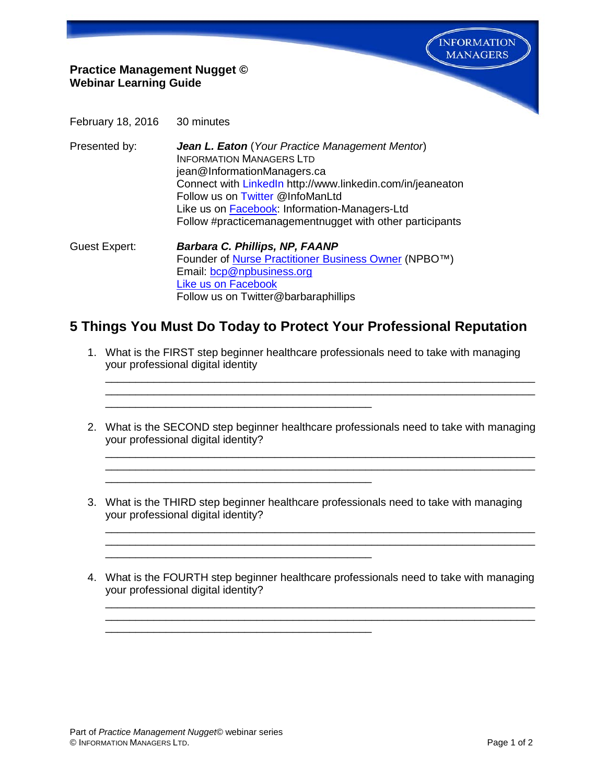**Practice Management Nugget © Webinar Learning Guide**

February 18, 2016 30 minutes

Presented by: *Jean L. Eaton* (*Your Practice Management Mentor*) INFORMATION MANAGERS LTD jean@InformationManagers.ca Connect with [LinkedIn](http://www.linkedin.com/in/jeaneaton) http://www.linkedin.com/in/jeaneaton Follow us on [Twitter](https://twitter.com/InfoManLtd) @InfoManLtd Like us on [Facebook:](https://www.facebook.com/pages/Information-Managers-Ltd/291303607725640) Information-Managers-Ltd Follow #practicemanagementnugget with other participants

Guest Expert: *Barbara C. Phillips, NP, FAANP* Founder of [Nurse Practitioner Business Owner](http://npbusiness.org/) (NPBO™) Email: [bcp@npbusiness.org](mailto:bcp@npbusiness.org) [Like us on Facebook](https://www.facebook.com/NursePractitionerBusiness/?fref=ts) Follow us on Twitter@barbaraphillips

\_\_\_\_\_\_\_\_\_\_\_\_\_\_\_\_\_\_\_\_\_\_\_\_\_\_\_\_\_\_\_\_\_\_\_\_\_\_\_\_\_\_\_\_

\_\_\_\_\_\_\_\_\_\_\_\_\_\_\_\_\_\_\_\_\_\_\_\_\_\_\_\_\_\_\_\_\_\_\_\_\_\_\_\_\_\_\_\_

\_\_\_\_\_\_\_\_\_\_\_\_\_\_\_\_\_\_\_\_\_\_\_\_\_\_\_\_\_\_\_\_\_\_\_\_\_\_\_\_\_\_\_\_

\_\_\_\_\_\_\_\_\_\_\_\_\_\_\_\_\_\_\_\_\_\_\_\_\_\_\_\_\_\_\_\_\_\_\_\_\_\_\_\_\_\_\_\_

## **5 Things You Must Do Today to Protect Your Professional Reputation**

- 1. What is the FIRST step beginner healthcare professionals need to take with managing your professional digital identity
- 2. What is the SECOND step beginner healthcare professionals need to take with managing your professional digital identity?

\_\_\_\_\_\_\_\_\_\_\_\_\_\_\_\_\_\_\_\_\_\_\_\_\_\_\_\_\_\_\_\_\_\_\_\_\_\_\_\_\_\_\_\_\_\_\_\_\_\_\_\_\_\_\_\_\_\_\_\_\_\_\_\_\_\_\_\_\_\_\_ \_\_\_\_\_\_\_\_\_\_\_\_\_\_\_\_\_\_\_\_\_\_\_\_\_\_\_\_\_\_\_\_\_\_\_\_\_\_\_\_\_\_\_\_\_\_\_\_\_\_\_\_\_\_\_\_\_\_\_\_\_\_\_\_\_\_\_\_\_\_\_

\_\_\_\_\_\_\_\_\_\_\_\_\_\_\_\_\_\_\_\_\_\_\_\_\_\_\_\_\_\_\_\_\_\_\_\_\_\_\_\_\_\_\_\_\_\_\_\_\_\_\_\_\_\_\_\_\_\_\_\_\_\_\_\_\_\_\_\_\_\_\_ \_\_\_\_\_\_\_\_\_\_\_\_\_\_\_\_\_\_\_\_\_\_\_\_\_\_\_\_\_\_\_\_\_\_\_\_\_\_\_\_\_\_\_\_\_\_\_\_\_\_\_\_\_\_\_\_\_\_\_\_\_\_\_\_\_\_\_\_\_\_\_

\_\_\_\_\_\_\_\_\_\_\_\_\_\_\_\_\_\_\_\_\_\_\_\_\_\_\_\_\_\_\_\_\_\_\_\_\_\_\_\_\_\_\_\_\_\_\_\_\_\_\_\_\_\_\_\_\_\_\_\_\_\_\_\_\_\_\_\_\_\_\_ \_\_\_\_\_\_\_\_\_\_\_\_\_\_\_\_\_\_\_\_\_\_\_\_\_\_\_\_\_\_\_\_\_\_\_\_\_\_\_\_\_\_\_\_\_\_\_\_\_\_\_\_\_\_\_\_\_\_\_\_\_\_\_\_\_\_\_\_\_\_\_

- 3. What is the THIRD step beginner healthcare professionals need to take with managing your professional digital identity?
- 4. What is the FOURTH step beginner healthcare professionals need to take with managing your professional digital identity?

\_\_\_\_\_\_\_\_\_\_\_\_\_\_\_\_\_\_\_\_\_\_\_\_\_\_\_\_\_\_\_\_\_\_\_\_\_\_\_\_\_\_\_\_\_\_\_\_\_\_\_\_\_\_\_\_\_\_\_\_\_\_\_\_\_\_\_\_\_\_\_ \_\_\_\_\_\_\_\_\_\_\_\_\_\_\_\_\_\_\_\_\_\_\_\_\_\_\_\_\_\_\_\_\_\_\_\_\_\_\_\_\_\_\_\_\_\_\_\_\_\_\_\_\_\_\_\_\_\_\_\_\_\_\_\_\_\_\_\_\_\_\_

**INFORMATION MANAGERS**